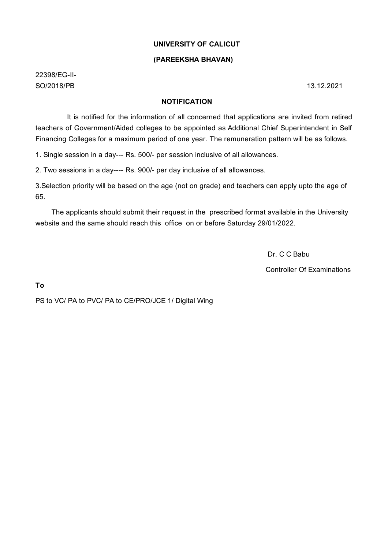# **UNIVERSITY OF CALICUT**

# **(PAREEKSHA BHAVAN)**

22398/EG-II-SO/2018/PB 13.12.2021

### **NOTIFICATION**

It is notified for the information of all concerned that applications are invited from retired teachers of Government/Aided colleges to be appointed as Additional Chief Superintendent in Self Financing Colleges for a maximum period of one year. The remuneration pattern will be as follows.

1. Single session in a day--- Rs. 500/- per session inclusive of all allowances.

2. Two sessions in a day---- Rs. 900/- per day inclusive of all allowances.

3.Selection priority will be based on the age (not on grade) and teachers can apply upto the age of 65.

The applicants should submit their request in the prescribed format available in the University website and the same should reach this office on or before Saturday 29/01/2022.

Dr. C C Babu

Controller Of Examinations

**To**

PS to VC/ PA to PVC/ PA to CE/PRO/JCE 1/ Digital Wing